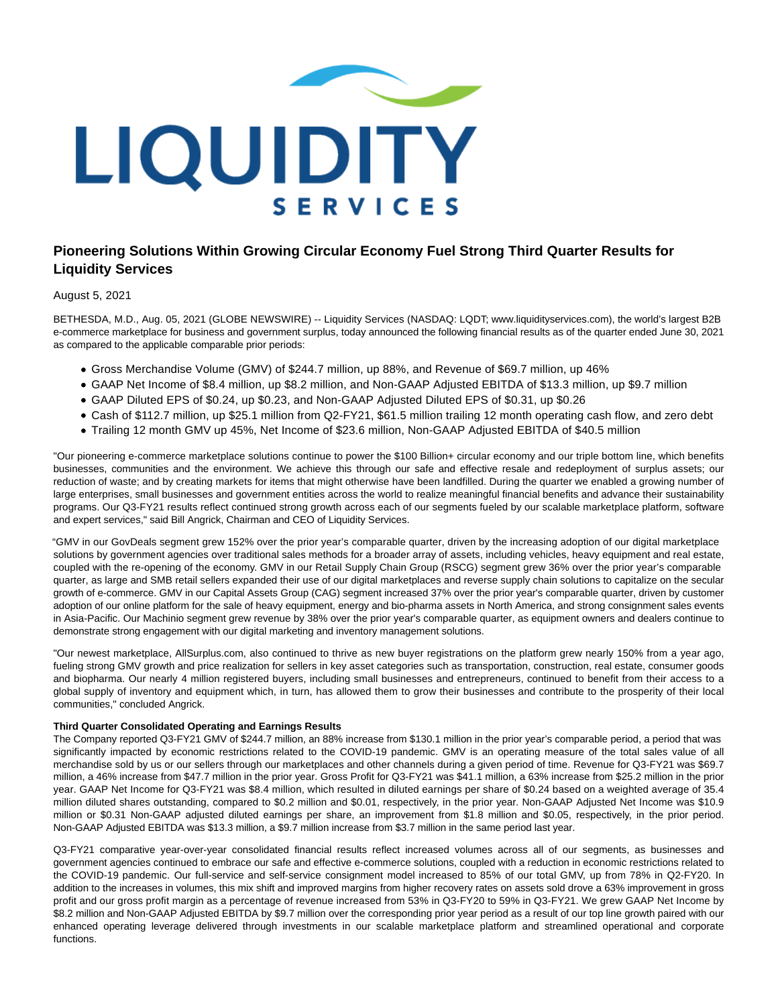

# **Pioneering Solutions Within Growing Circular Economy Fuel Strong Third Quarter Results for Liquidity Services**

## August 5, 2021

BETHESDA, M.D., Aug. 05, 2021 (GLOBE NEWSWIRE) -- Liquidity Services (NASDAQ: LQDT; www.liquidityservices.com), the world's largest B2B e-commerce marketplace for business and government surplus, today announced the following financial results as of the quarter ended June 30, 2021 as compared to the applicable comparable prior periods:

- Gross Merchandise Volume (GMV) of \$244.7 million, up 88%, and Revenue of \$69.7 million, up 46%
- GAAP Net Income of \$8.4 million, up \$8.2 million, and Non-GAAP Adjusted EBITDA of \$13.3 million, up \$9.7 million
- GAAP Diluted EPS of \$0.24, up \$0.23, and Non-GAAP Adjusted Diluted EPS of \$0.31, up \$0.26
- Cash of \$112.7 million, up \$25.1 million from Q2-FY21, \$61.5 million trailing 12 month operating cash flow, and zero debt
- Trailing 12 month GMV up 45%, Net Income of \$23.6 million, Non-GAAP Adjusted EBITDA of \$40.5 million

"Our pioneering e-commerce marketplace solutions continue to power the \$100 Billion+ circular economy and our triple bottom line, which benefits businesses, communities and the environment. We achieve this through our safe and effective resale and redeployment of surplus assets; our reduction of waste; and by creating markets for items that might otherwise have been landfilled. During the quarter we enabled a growing number of large enterprises, small businesses and government entities across the world to realize meaningful financial benefits and advance their sustainability programs. Our Q3-FY21 results reflect continued strong growth across each of our segments fueled by our scalable marketplace platform, software and expert services," said Bill Angrick, Chairman and CEO of Liquidity Services.

"GMV in our GovDeals segment grew 152% over the prior year's comparable quarter, driven by the increasing adoption of our digital marketplace solutions by government agencies over traditional sales methods for a broader array of assets, including vehicles, heavy equipment and real estate, coupled with the re-opening of the economy. GMV in our Retail Supply Chain Group (RSCG) segment grew 36% over the prior year's comparable quarter, as large and SMB retail sellers expanded their use of our digital marketplaces and reverse supply chain solutions to capitalize on the secular growth of e-commerce. GMV in our Capital Assets Group (CAG) segment increased 37% over the prior year's comparable quarter, driven by customer adoption of our online platform for the sale of heavy equipment, energy and bio-pharma assets in North America, and strong consignment sales events in Asia-Pacific. Our Machinio segment grew revenue by 38% over the prior year's comparable quarter, as equipment owners and dealers continue to demonstrate strong engagement with our digital marketing and inventory management solutions.

"Our newest marketplace, AllSurplus.com, also continued to thrive as new buyer registrations on the platform grew nearly 150% from a year ago, fueling strong GMV growth and price realization for sellers in key asset categories such as transportation, construction, real estate, consumer goods and biopharma. Our nearly 4 million registered buyers, including small businesses and entrepreneurs, continued to benefit from their access to a global supply of inventory and equipment which, in turn, has allowed them to grow their businesses and contribute to the prosperity of their local communities," concluded Angrick.

#### **Third Quarter Consolidated Operating and Earnings Results**

The Company reported Q3-FY21 GMV of \$244.7 million, an 88% increase from \$130.1 million in the prior year's comparable period, a period that was significantly impacted by economic restrictions related to the COVID-19 pandemic. GMV is an operating measure of the total sales value of all merchandise sold by us or our sellers through our marketplaces and other channels during a given period of time. Revenue for Q3-FY21 was \$69.7 million, a 46% increase from \$47.7 million in the prior year. Gross Profit for Q3-FY21 was \$41.1 million, a 63% increase from \$25.2 million in the prior year. GAAP Net Income for Q3-FY21 was \$8.4 million, which resulted in diluted earnings per share of \$0.24 based on a weighted average of 35.4 million diluted shares outstanding, compared to \$0.2 million and \$0.01, respectively, in the prior year. Non-GAAP Adjusted Net Income was \$10.9 million or \$0.31 Non-GAAP adjusted diluted earnings per share, an improvement from \$1.8 million and \$0.05, respectively, in the prior period. Non-GAAP Adjusted EBITDA was \$13.3 million, a \$9.7 million increase from \$3.7 million in the same period last year.

Q3-FY21 comparative year-over-year consolidated financial results reflect increased volumes across all of our segments, as businesses and government agencies continued to embrace our safe and effective e-commerce solutions, coupled with a reduction in economic restrictions related to the COVID-19 pandemic. Our full-service and self-service consignment model increased to 85% of our total GMV, up from 78% in Q2-FY20. In addition to the increases in volumes, this mix shift and improved margins from higher recovery rates on assets sold drove a 63% improvement in gross profit and our gross profit margin as a percentage of revenue increased from 53% in Q3-FY20 to 59% in Q3-FY21. We grew GAAP Net Income by \$8.2 million and Non-GAAP Adjusted EBITDA by \$9.7 million over the corresponding prior year period as a result of our top line growth paired with our enhanced operating leverage delivered through investments in our scalable marketplace platform and streamlined operational and corporate functions.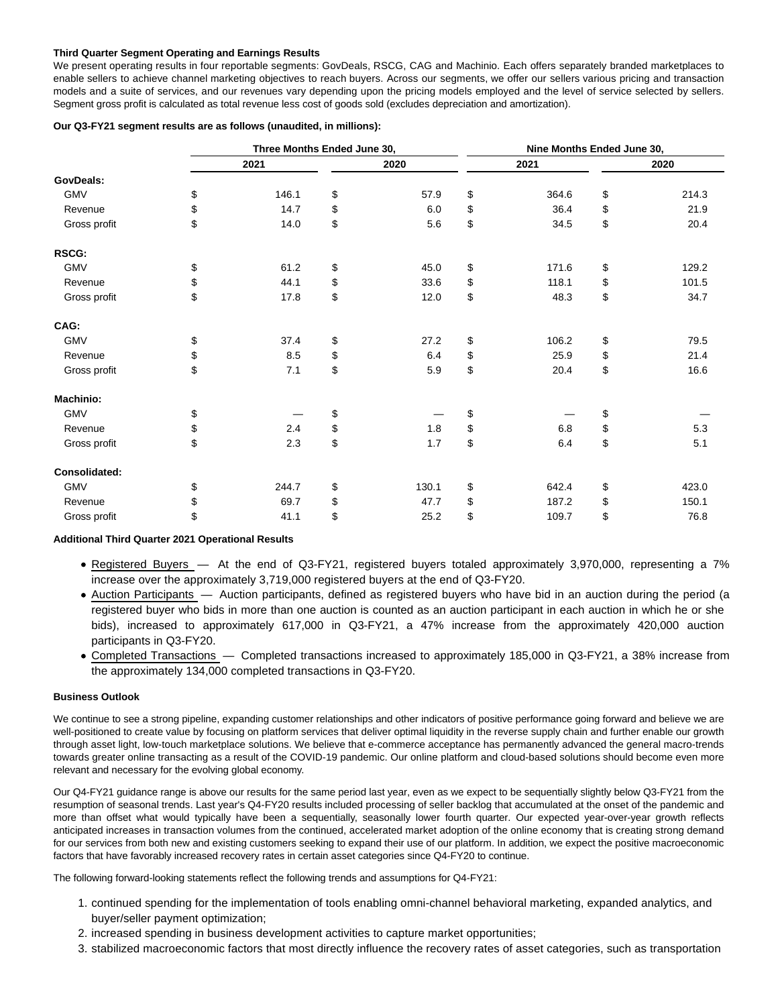#### **Third Quarter Segment Operating and Earnings Results**

We present operating results in four reportable segments: GovDeals, RSCG, CAG and Machinio. Each offers separately branded marketplaces to enable sellers to achieve channel marketing objectives to reach buyers. Across our segments, we offer our sellers various pricing and transaction models and a suite of services, and our revenues vary depending upon the pricing models employed and the level of service selected by sellers. Segment gross profit is calculated as total revenue less cost of goods sold (excludes depreciation and amortization).

### **Our Q3-FY21 segment results are as follows (unaudited, in millions):**

|                  | Three Months Ended June 30, |    | Nine Months Ended June 30, |    |       |      |       |  |
|------------------|-----------------------------|----|----------------------------|----|-------|------|-------|--|
|                  | 2021                        |    | 2020                       |    | 2021  | 2020 |       |  |
| GovDeals:        |                             |    |                            |    |       |      |       |  |
| <b>GMV</b>       | \$<br>146.1                 | \$ | 57.9                       | \$ | 364.6 | \$   | 214.3 |  |
| Revenue          | \$<br>14.7                  | \$ | 6.0                        | \$ | 36.4  | \$   | 21.9  |  |
| Gross profit     | \$<br>14.0                  | \$ | 5.6                        | \$ | 34.5  | \$   | 20.4  |  |
| <b>RSCG:</b>     |                             |    |                            |    |       |      |       |  |
| <b>GMV</b>       | \$<br>61.2                  | \$ | 45.0                       | \$ | 171.6 | \$   | 129.2 |  |
| Revenue          | \$<br>44.1                  | \$ | 33.6                       | \$ | 118.1 | \$   | 101.5 |  |
| Gross profit     | \$<br>17.8                  | \$ | 12.0                       | \$ | 48.3  | \$   | 34.7  |  |
| CAG:             |                             |    |                            |    |       |      |       |  |
| <b>GMV</b>       | \$<br>37.4                  | \$ | 27.2                       | \$ | 106.2 | \$   | 79.5  |  |
| Revenue          | \$<br>8.5                   | \$ | 6.4                        | \$ | 25.9  | \$   | 21.4  |  |
| Gross profit     | \$<br>7.1                   | \$ | 5.9                        | \$ | 20.4  | \$   | 16.6  |  |
| <b>Machinio:</b> |                             |    |                            |    |       |      |       |  |
| <b>GMV</b>       | \$                          | \$ |                            | \$ |       | \$   |       |  |
| Revenue          | \$<br>2.4                   | \$ | 1.8                        | \$ | 6.8   | \$   | 5.3   |  |
| Gross profit     | \$<br>2.3                   | \$ | 1.7                        | \$ | 6.4   | \$   | 5.1   |  |
| Consolidated:    |                             |    |                            |    |       |      |       |  |
| <b>GMV</b>       | \$<br>244.7                 | \$ | 130.1                      | \$ | 642.4 | \$   | 423.0 |  |
| Revenue          | \$<br>69.7                  | \$ | 47.7                       | \$ | 187.2 | \$   | 150.1 |  |
| Gross profit     | \$<br>41.1                  | \$ | 25.2                       | \$ | 109.7 | \$   | 76.8  |  |

#### **Additional Third Quarter 2021 Operational Results**

- Registered Buyers At the end of Q3-FY21, registered buyers totaled approximately 3,970,000, representing a 7% increase over the approximately 3,719,000 registered buyers at the end of Q3-FY20.
- Auction Participants Auction participants, defined as registered buyers who have bid in an auction during the period (a registered buyer who bids in more than one auction is counted as an auction participant in each auction in which he or she bids), increased to approximately 617,000 in Q3-FY21, a 47% increase from the approximately 420,000 auction participants in Q3-FY20.
- Completed Transactions Completed transactions increased to approximately 185,000 in Q3-FY21, a 38% increase from the approximately 134,000 completed transactions in Q3-FY20.

#### **Business Outlook**

We continue to see a strong pipeline, expanding customer relationships and other indicators of positive performance going forward and believe we are well-positioned to create value by focusing on platform services that deliver optimal liquidity in the reverse supply chain and further enable our growth through asset light, low-touch marketplace solutions. We believe that e-commerce acceptance has permanently advanced the general macro-trends towards greater online transacting as a result of the COVID-19 pandemic. Our online platform and cloud-based solutions should become even more relevant and necessary for the evolving global economy.

Our Q4-FY21 guidance range is above our results for the same period last year, even as we expect to be sequentially slightly below Q3-FY21 from the resumption of seasonal trends. Last year's Q4-FY20 results included processing of seller backlog that accumulated at the onset of the pandemic and more than offset what would typically have been a sequentially, seasonally lower fourth quarter. Our expected year-over-year growth reflects anticipated increases in transaction volumes from the continued, accelerated market adoption of the online economy that is creating strong demand for our services from both new and existing customers seeking to expand their use of our platform. In addition, we expect the positive macroeconomic factors that have favorably increased recovery rates in certain asset categories since Q4-FY20 to continue.

The following forward-looking statements reflect the following trends and assumptions for Q4-FY21:

- 1. continued spending for the implementation of tools enabling omni-channel behavioral marketing, expanded analytics, and buyer/seller payment optimization;
- 2. increased spending in business development activities to capture market opportunities;
- 3. stabilized macroeconomic factors that most directly influence the recovery rates of asset categories, such as transportation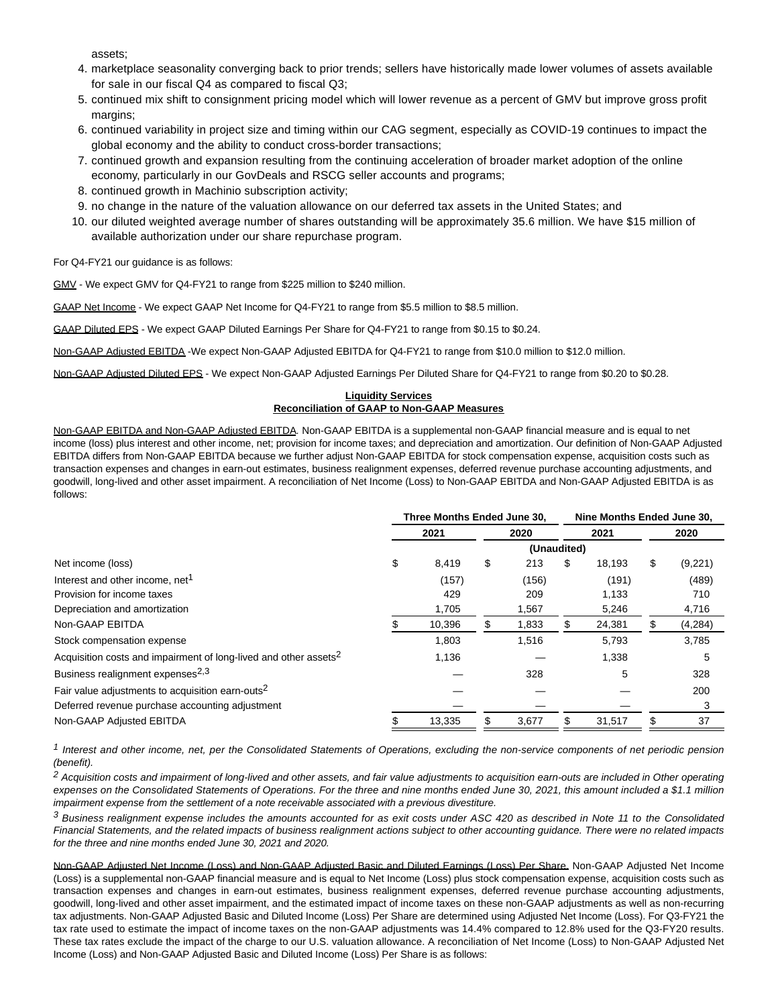assets;

- marketplace seasonality converging back to prior trends; sellers have historically made lower volumes of assets available 4. for sale in our fiscal Q4 as compared to fiscal Q3;
- 5. continued mix shift to consignment pricing model which will lower revenue as a percent of GMV but improve gross profit margins;
- 6. continued variability in project size and timing within our CAG segment, especially as COVID-19 continues to impact the global economy and the ability to conduct cross-border transactions;
- 7. continued growth and expansion resulting from the continuing acceleration of broader market adoption of the online economy, particularly in our GovDeals and RSCG seller accounts and programs;
- 8. continued growth in Machinio subscription activity;
- 9. no change in the nature of the valuation allowance on our deferred tax assets in the United States; and
- 10. our diluted weighted average number of shares outstanding will be approximately 35.6 million. We have \$15 million of available authorization under our share repurchase program.

For Q4-FY21 our guidance is as follows:

GMV - We expect GMV for Q4-FY21 to range from \$225 million to \$240 million.

GAAP Net Income - We expect GAAP Net Income for Q4-FY21 to range from \$5.5 million to \$8.5 million.

GAAP Diluted EPS - We expect GAAP Diluted Earnings Per Share for Q4-FY21 to range from \$0.15 to \$0.24.

Non-GAAP Adjusted EBITDA -We expect Non-GAAP Adjusted EBITDA for Q4-FY21 to range from \$10.0 million to \$12.0 million.

Non-GAAP Adjusted Diluted EPS - We expect Non-GAAP Adjusted Earnings Per Diluted Share for Q4-FY21 to range from \$0.20 to \$0.28.

## **Liquidity Services Reconciliation of GAAP to Non-GAAP Measures**

Non-GAAP EBITDA and Non-GAAP Adjusted EBITDA. Non-GAAP EBITDA is a supplemental non-GAAP financial measure and is equal to net income (loss) plus interest and other income, net; provision for income taxes; and depreciation and amortization. Our definition of Non-GAAP Adjusted EBITDA differs from Non-GAAP EBITDA because we further adjust Non-GAAP EBITDA for stock compensation expense, acquisition costs such as transaction expenses and changes in earn-out estimates, business realignment expenses, deferred revenue purchase accounting adjustments, and goodwill, long-lived and other asset impairment. A reconciliation of Net Income (Loss) to Non-GAAP EBITDA and Non-GAAP Adjusted EBITDA is as follows:

|                                                                              | Three Months Ended June 30. |        |    | Nine Months Ended June 30, |             |        |   |         |
|------------------------------------------------------------------------------|-----------------------------|--------|----|----------------------------|-------------|--------|---|---------|
|                                                                              | 2021                        |        |    | 2020                       |             | 2021   |   | 2020    |
|                                                                              |                             |        |    |                            | (Unaudited) |        |   |         |
| Net income (loss)                                                            | \$                          | 8,419  | \$ | 213                        | \$          | 18,193 | S | (9,221) |
| Interest and other income, net <sup>1</sup>                                  |                             | (157)  |    | (156)                      |             | (191)  |   | (489)   |
| Provision for income taxes                                                   |                             | 429    |    | 209                        |             | 1,133  |   | 710     |
| Depreciation and amortization                                                |                             | 1,705  |    | 1,567                      |             | 5,246  |   | 4,716   |
| Non-GAAP EBITDA                                                              |                             | 10,396 | S  | 1,833                      |             | 24,381 |   | (4,284) |
| Stock compensation expense                                                   |                             | 1.803  |    | 1,516                      |             | 5,793  |   | 3,785   |
| Acquisition costs and impairment of long-lived and other assets <sup>2</sup> |                             | 1,136  |    |                            |             | 1,338  |   | 5       |
| Business realignment expenses <sup>2,3</sup>                                 |                             |        |    | 328                        |             | 5      |   | 328     |
| Fair value adjustments to acquisition earn-outs <sup>2</sup>                 |                             |        |    |                            |             |        |   | 200     |
| Deferred revenue purchase accounting adjustment                              |                             |        |    |                            |             |        |   |         |
| Non-GAAP Adjusted EBITDA                                                     |                             | 13,335 |    | 3,677                      |             | 31.517 |   | 37      |

 $<sup>1</sup>$  Interest and other income, net, per the Consolidated Statements of Operations, excluding the non-service components of net periodic pension</sup> (benefit).

 $2$  Acquisition costs and impairment of long-lived and other assets, and fair value adjustments to acquisition earn-outs are included in Other operating expenses on the Consolidated Statements of Operations. For the three and nine months ended June 30, 2021, this amount included a \$1.1 million impairment expense from the settlement of a note receivable associated with a previous divestiture.

 $3$  Business realignment expense includes the amounts accounted for as exit costs under ASC 420 as described in Note 11 to the Consolidated Financial Statements, and the related impacts of business realignment actions subject to other accounting guidance. There were no related impacts for the three and nine months ended June 30, 2021 and 2020.

Non-GAAP Adjusted Net Income (Loss) and Non-GAAP Adjusted Basic and Diluted Earnings (Loss) Per Share. Non-GAAP Adjusted Net Income (Loss) is a supplemental non-GAAP financial measure and is equal to Net Income (Loss) plus stock compensation expense, acquisition costs such as transaction expenses and changes in earn-out estimates, business realignment expenses, deferred revenue purchase accounting adjustments, goodwill, long-lived and other asset impairment, and the estimated impact of income taxes on these non-GAAP adjustments as well as non-recurring tax adjustments. Non-GAAP Adjusted Basic and Diluted Income (Loss) Per Share are determined using Adjusted Net Income (Loss). For Q3-FY21 the tax rate used to estimate the impact of income taxes on the non-GAAP adjustments was 14.4% compared to 12.8% used for the Q3-FY20 results. These tax rates exclude the impact of the charge to our U.S. valuation allowance. A reconciliation of Net Income (Loss) to Non-GAAP Adjusted Net Income (Loss) and Non-GAAP Adjusted Basic and Diluted Income (Loss) Per Share is as follows: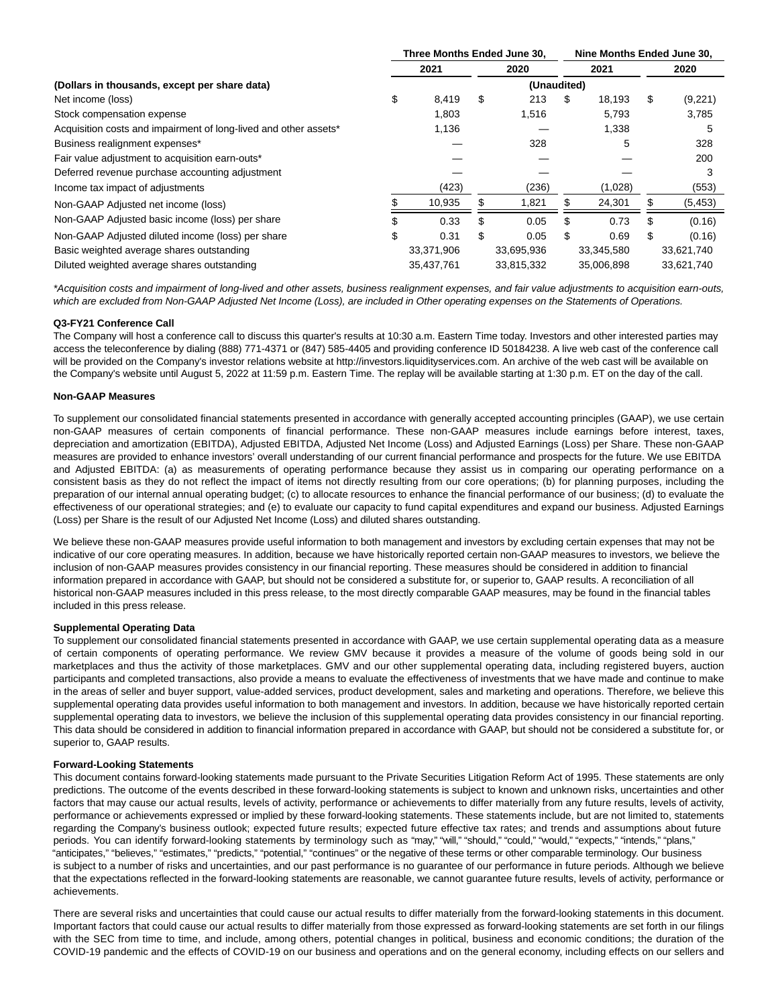|                                                                  | Three Months Ended June 30. |            |             |            |   | Nine Months Ended June 30. |    |            |
|------------------------------------------------------------------|-----------------------------|------------|-------------|------------|---|----------------------------|----|------------|
|                                                                  |                             | 2021       |             | 2020       |   | 2021                       |    | 2020       |
| (Dollars in thousands, except per share data)                    |                             |            | (Unaudited) |            |   |                            |    |            |
| Net income (loss)                                                | \$                          | 8,419      | \$          | 213        | S | 18,193                     | \$ | (9,221)    |
| Stock compensation expense                                       |                             | 1,803      |             | 1,516      |   | 5,793                      |    | 3,785      |
| Acquisition costs and impairment of long-lived and other assets* |                             | 1,136      |             |            |   | 1,338                      |    | 5          |
| Business realignment expenses*                                   |                             |            |             | 328        |   | 5                          |    | 328        |
| Fair value adjustment to acquisition earn-outs*                  |                             |            |             |            |   |                            |    | 200        |
| Deferred revenue purchase accounting adjustment                  |                             |            |             |            |   |                            |    |            |
| Income tax impact of adjustments                                 |                             | (423)      |             | (236)      |   | (1,028)                    |    | (553)      |
| Non-GAAP Adjusted net income (loss)                              |                             | 10,935     |             | .821       |   | 24,301                     |    | (5, 453)   |
| Non-GAAP Adjusted basic income (loss) per share                  |                             | 0.33       | \$          | 0.05       | S | 0.73                       | S  | (0.16)     |
| Non-GAAP Adjusted diluted income (loss) per share                |                             | 0.31       | \$          | 0.05       |   | 0.69                       | S  | (0.16)     |
| Basic weighted average shares outstanding                        |                             | 33,371,906 |             | 33,695,936 |   | 33,345,580                 |    | 33,621,740 |
| Diluted weighted average shares outstanding                      |                             | 35,437,761 |             | 33,815,332 |   | 35,006,898                 |    | 33,621,740 |

\*Acquisition costs and impairment of long-lived and other assets, business realignment expenses, and fair value adjustments to acquisition earn-outs, which are excluded from Non-GAAP Adjusted Net Income (Loss), are included in Other operating expenses on the Statements of Operations.

#### **Q3-FY21 Conference Call**

The Company will host a conference call to discuss this quarter's results at 10:30 a.m. Eastern Time today. Investors and other interested parties may access the teleconference by dialing (888) 771-4371 or (847) 585-4405 and providing conference ID 50184238. A live web cast of the conference call will be provided on the Company's investor relations website at http://investors.liquidityservices.com. An archive of the web cast will be available on the Company's website until August 5, 2022 at 11:59 p.m. Eastern Time. The replay will be available starting at 1:30 p.m. ET on the day of the call.

#### **Non-GAAP Measures**

To supplement our consolidated financial statements presented in accordance with generally accepted accounting principles (GAAP), we use certain non-GAAP measures of certain components of financial performance. These non-GAAP measures include earnings before interest, taxes, depreciation and amortization (EBITDA), Adjusted EBITDA, Adjusted Net Income (Loss) and Adjusted Earnings (Loss) per Share. These non-GAAP measures are provided to enhance investors' overall understanding of our current financial performance and prospects for the future. We use EBITDA and Adjusted EBITDA: (a) as measurements of operating performance because they assist us in comparing our operating performance on a consistent basis as they do not reflect the impact of items not directly resulting from our core operations; (b) for planning purposes, including the preparation of our internal annual operating budget; (c) to allocate resources to enhance the financial performance of our business; (d) to evaluate the effectiveness of our operational strategies; and (e) to evaluate our capacity to fund capital expenditures and expand our business. Adjusted Earnings (Loss) per Share is the result of our Adjusted Net Income (Loss) and diluted shares outstanding.

We believe these non-GAAP measures provide useful information to both management and investors by excluding certain expenses that may not be indicative of our core operating measures. In addition, because we have historically reported certain non-GAAP measures to investors, we believe the inclusion of non-GAAP measures provides consistency in our financial reporting. These measures should be considered in addition to financial information prepared in accordance with GAAP, but should not be considered a substitute for, or superior to, GAAP results. A reconciliation of all historical non-GAAP measures included in this press release, to the most directly comparable GAAP measures, may be found in the financial tables included in this press release.

### **Supplemental Operating Data**

To supplement our consolidated financial statements presented in accordance with GAAP, we use certain supplemental operating data as a measure of certain components of operating performance. We review GMV because it provides a measure of the volume of goods being sold in our marketplaces and thus the activity of those marketplaces. GMV and our other supplemental operating data, including registered buyers, auction participants and completed transactions, also provide a means to evaluate the effectiveness of investments that we have made and continue to make in the areas of seller and buyer support, value-added services, product development, sales and marketing and operations. Therefore, we believe this supplemental operating data provides useful information to both management and investors. In addition, because we have historically reported certain supplemental operating data to investors, we believe the inclusion of this supplemental operating data provides consistency in our financial reporting. This data should be considered in addition to financial information prepared in accordance with GAAP, but should not be considered a substitute for, or superior to, GAAP results.

#### **Forward-Looking Statements**

This document contains forward-looking statements made pursuant to the Private Securities Litigation Reform Act of 1995. These statements are only predictions. The outcome of the events described in these forward-looking statements is subject to known and unknown risks, uncertainties and other factors that may cause our actual results, levels of activity, performance or achievements to differ materially from any future results, levels of activity, performance or achievements expressed or implied by these forward-looking statements. These statements include, but are not limited to, statements regarding the Company's business outlook; expected future results; expected future effective tax rates; and trends and assumptions about future periods. You can identify forward-looking statements by terminology such as "may," "will," "should," "could," "would," "expects," "intends," "plans," "anticipates," "believes," "estimates," "predicts," "potential," "continues" or the negative of these terms or other comparable terminology. Our business is subject to a number of risks and uncertainties, and our past performance is no guarantee of our performance in future periods. Although we believe that the expectations reflected in the forward-looking statements are reasonable, we cannot guarantee future results, levels of activity, performance or achievements.

There are several risks and uncertainties that could cause our actual results to differ materially from the forward-looking statements in this document. Important factors that could cause our actual results to differ materially from those expressed as forward-looking statements are set forth in our filings with the SEC from time to time, and include, among others, potential changes in political, business and economic conditions; the duration of the COVID-19 pandemic and the effects of COVID-19 on our business and operations and on the general economy, including effects on our sellers and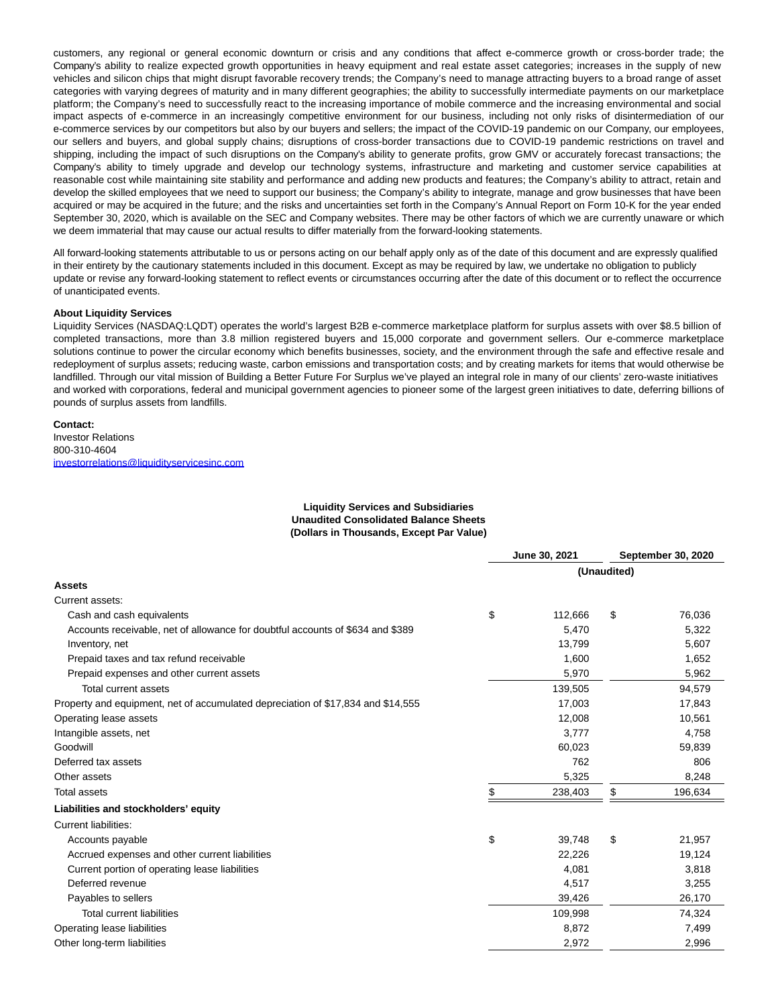customers, any regional or general economic downturn or crisis and any conditions that affect e-commerce growth or cross-border trade; the Company's ability to realize expected growth opportunities in heavy equipment and real estate asset categories; increases in the supply of new vehicles and silicon chips that might disrupt favorable recovery trends; the Company's need to manage attracting buyers to a broad range of asset categories with varying degrees of maturity and in many different geographies; the ability to successfully intermediate payments on our marketplace platform; the Company's need to successfully react to the increasing importance of mobile commerce and the increasing environmental and social impact aspects of e-commerce in an increasingly competitive environment for our business, including not only risks of disintermediation of our e-commerce services by our competitors but also by our buyers and sellers; the impact of the COVID-19 pandemic on our Company, our employees, our sellers and buyers, and global supply chains; disruptions of cross-border transactions due to COVID-19 pandemic restrictions on travel and shipping, including the impact of such disruptions on the Company's ability to generate profits, grow GMV or accurately forecast transactions; the Company's ability to timely upgrade and develop our technology systems, infrastructure and marketing and customer service capabilities at reasonable cost while maintaining site stability and performance and adding new products and features; the Company's ability to attract, retain and develop the skilled employees that we need to support our business; the Company's ability to integrate, manage and grow businesses that have been acquired or may be acquired in the future; and the risks and uncertainties set forth in the Company's Annual Report on Form 10-K for the year ended September 30, 2020, which is available on the SEC and Company websites. There may be other factors of which we are currently unaware or which we deem immaterial that may cause our actual results to differ materially from the forward-looking statements.

All forward-looking statements attributable to us or persons acting on our behalf apply only as of the date of this document and are expressly qualified in their entirety by the cautionary statements included in this document. Except as may be required by law, we undertake no obligation to publicly update or revise any forward-looking statement to reflect events or circumstances occurring after the date of this document or to reflect the occurrence of unanticipated events.

#### **About Liquidity Services**

Liquidity Services (NASDAQ:LQDT) operates the world's largest B2B e-commerce marketplace platform for surplus assets with over \$8.5 billion of completed transactions, more than 3.8 million registered buyers and 15,000 corporate and government sellers. Our e-commerce marketplace solutions continue to power the circular economy which benefits businesses, society, and the environment through the safe and effective resale and redeployment of surplus assets; reducing waste, carbon emissions and transportation costs; and by creating markets for items that would otherwise be landfilled. Through our vital mission of Building a Better Future For Surplus we've played an integral role in many of our clients' zero-waste initiatives and worked with corporations, federal and municipal government agencies to pioneer some of the largest green initiatives to date, deferring billions of pounds of surplus assets from landfills.

#### **Contact:** Investor Relations 800-310-4604

[investorrelations@liquidityservicesinc.com](https://www.globenewswire.com/Tracker?data=YLCzCxClxIDg1Zb_7Yr0r-R9Z4Q-QyJAO5RyauoLqV5Ybs7TNNMYxjM5WFaN1Ed_JfzrKbaI6DSUU4aedm3rgN4TaTPoqJSVyEuSdLLUd_2xwzIZQ2GwLi9sZ7TTjCcpbXFF764V6aTgXv97qX81qBJjQ3DYPaSfredKzP1hcIw=)

#### **Liquidity Services and Subsidiaries Unaudited Consolidated Balance Sheets (Dollars in Thousands, Except Par Value)**

|                                                                                  | June 30, 2021 |             | September 30, 2020 |
|----------------------------------------------------------------------------------|---------------|-------------|--------------------|
|                                                                                  |               | (Unaudited) |                    |
| <b>Assets</b>                                                                    |               |             |                    |
| Current assets:                                                                  |               |             |                    |
| Cash and cash equivalents                                                        | \$<br>112,666 | \$          | 76,036             |
| Accounts receivable, net of allowance for doubtful accounts of \$634 and \$389   | 5,470         |             | 5,322              |
| Inventory, net                                                                   | 13,799        |             | 5,607              |
| Prepaid taxes and tax refund receivable                                          | 1,600         |             | 1,652              |
| Prepaid expenses and other current assets                                        | 5,970         |             | 5,962              |
| Total current assets                                                             | 139,505       |             | 94,579             |
| Property and equipment, net of accumulated depreciation of \$17,834 and \$14,555 | 17,003        |             | 17,843             |
| Operating lease assets                                                           | 12,008        |             | 10,561             |
| Intangible assets, net                                                           | 3,777         |             | 4,758              |
| Goodwill                                                                         | 60,023        |             | 59,839             |
| Deferred tax assets                                                              | 762           |             | 806                |
| Other assets                                                                     | 5,325         |             | 8,248              |
| <b>Total assets</b>                                                              | 238,403       | \$          | 196,634            |
| Liabilities and stockholders' equity                                             |               |             |                    |
| <b>Current liabilities:</b>                                                      |               |             |                    |
| Accounts payable                                                                 | \$<br>39,748  | \$          | 21,957             |
| Accrued expenses and other current liabilities                                   | 22,226        |             | 19,124             |
| Current portion of operating lease liabilities                                   | 4,081         |             | 3,818              |
| Deferred revenue                                                                 | 4,517         |             | 3,255              |
| Payables to sellers                                                              | 39,426        |             | 26,170             |
| <b>Total current liabilities</b>                                                 | 109,998       |             | 74,324             |
| Operating lease liabilities                                                      | 8,872         |             | 7,499              |
| Other long-term liabilities                                                      | 2,972         |             | 2,996              |
|                                                                                  |               |             |                    |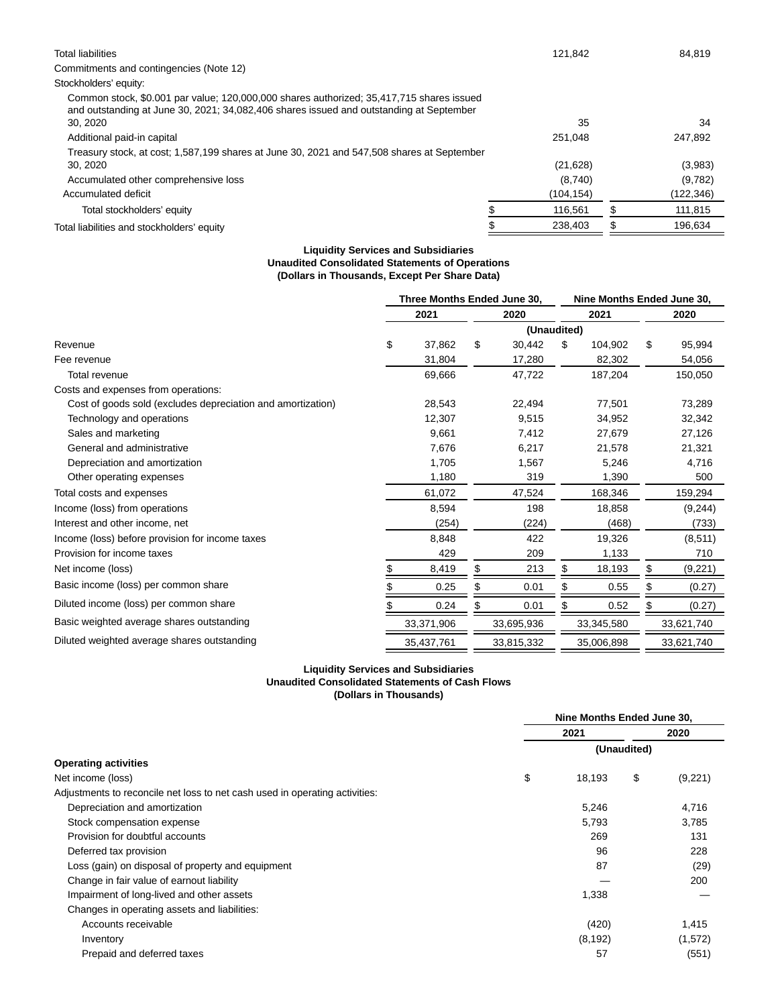| <b>Total liabilities</b>                                                                                                                                                            | 121.842    |    | 84.819    |
|-------------------------------------------------------------------------------------------------------------------------------------------------------------------------------------|------------|----|-----------|
| Commitments and contingencies (Note 12)                                                                                                                                             |            |    |           |
| Stockholders' equity:                                                                                                                                                               |            |    |           |
| Common stock, \$0.001 par value; 120,000,000 shares authorized; 35,417,715 shares issued<br>and outstanding at June 30, 2021; 34,082,406 shares issued and outstanding at September |            |    |           |
| 30.2020                                                                                                                                                                             | 35         |    | 34        |
| Additional paid-in capital                                                                                                                                                          | 251.048    |    | 247.892   |
| Treasury stock, at cost; 1,587,199 shares at June 30, 2021 and 547,508 shares at September                                                                                          |            |    |           |
| 30.2020                                                                                                                                                                             | (21, 628)  |    | (3,983)   |
| Accumulated other comprehensive loss                                                                                                                                                | (8,740)    |    | (9,782)   |
| Accumulated deficit                                                                                                                                                                 | (104, 154) |    | (122,346) |
| Total stockholders' equity                                                                                                                                                          | 116.561    | \$ | 111,815   |
| Total liabilities and stockholders' equity                                                                                                                                          | 238.403    | S  | 196,634   |

#### **Liquidity Services and Subsidiaries Unaudited Consolidated Statements of Operations (Dollars in Thousands, Except Per Share Data)**

|                                                             | Three Months Ended June 30, |    |             |     | Nine Months Ended June 30, |    |            |  |
|-------------------------------------------------------------|-----------------------------|----|-------------|-----|----------------------------|----|------------|--|
|                                                             | 2021                        |    | 2020        |     | 2021                       |    | 2020       |  |
|                                                             |                             |    | (Unaudited) |     |                            |    |            |  |
| Revenue                                                     | \$<br>37,862                | \$ | 30,442      | \$  | 104,902                    | \$ | 95,994     |  |
| Fee revenue                                                 | 31,804                      |    | 17,280      |     | 82,302                     |    | 54,056     |  |
| Total revenue                                               | 69,666                      |    | 47,722      |     | 187,204                    |    | 150,050    |  |
| Costs and expenses from operations:                         |                             |    |             |     |                            |    |            |  |
| Cost of goods sold (excludes depreciation and amortization) | 28,543                      |    | 22,494      |     | 77,501                     |    | 73,289     |  |
| Technology and operations                                   | 12,307                      |    | 9,515       |     | 34,952                     |    | 32,342     |  |
| Sales and marketing                                         | 9,661                       |    | 7,412       |     | 27,679                     |    | 27,126     |  |
| General and administrative                                  | 7,676                       |    | 6,217       |     | 21,578                     |    | 21,321     |  |
| Depreciation and amortization                               | 1,705                       |    | 1,567       |     | 5,246                      |    | 4.716      |  |
| Other operating expenses                                    | 1,180                       |    | 319         |     | 1,390                      |    | 500        |  |
| Total costs and expenses                                    | 61,072                      |    | 47,524      |     | 168,346                    |    | 159,294    |  |
| Income (loss) from operations                               | 8,594                       |    | 198         |     | 18,858                     |    | (9, 244)   |  |
| Interest and other income, net                              | (254)                       |    | (224)       |     | (468)                      |    | (733)      |  |
| Income (loss) before provision for income taxes             | 8,848                       |    | 422         |     | 19,326                     |    | (8, 511)   |  |
| Provision for income taxes                                  | 429                         |    | 209         |     | 1,133                      |    | 710        |  |
| Net income (loss)                                           | 8,419                       | \$ | 213         | \$  | 18,193                     | \$ | (9,221)    |  |
| Basic income (loss) per common share                        | 0.25                        |    | 0.01        |     | 0.55                       | \$ | (0.27)     |  |
| Diluted income (loss) per common share                      | 0.24                        |    | 0.01        | \$. | 0.52                       |    | (0.27)     |  |
| Basic weighted average shares outstanding                   | 33,371,906                  |    | 33,695,936  |     | 33,345,580                 |    | 33,621,740 |  |
| Diluted weighted average shares outstanding                 | 35,437,761                  |    | 33,815,332  |     | 35,006,898                 |    | 33,621,740 |  |
|                                                             |                             |    |             |     |                            |    |            |  |

## **Liquidity Services and Subsidiaries Unaudited Consolidated Statements of Cash Flows (Dollars in Thousands)**

|                                                                             | Nine Months Ended June 30, |             |         |
|-----------------------------------------------------------------------------|----------------------------|-------------|---------|
|                                                                             | 2021                       |             | 2020    |
|                                                                             |                            | (Unaudited) |         |
| <b>Operating activities</b>                                                 |                            |             |         |
| Net income (loss)                                                           | \$<br>18,193               | \$          | (9,221) |
| Adjustments to reconcile net loss to net cash used in operating activities: |                            |             |         |
| Depreciation and amortization                                               | 5,246                      |             | 4,716   |
| Stock compensation expense                                                  | 5,793                      |             | 3,785   |
| Provision for doubtful accounts                                             | 269                        |             | 131     |
| Deferred tax provision                                                      | 96                         |             | 228     |
| Loss (gain) on disposal of property and equipment                           | 87                         |             | (29)    |
| Change in fair value of earnout liability                                   |                            |             | 200     |
| Impairment of long-lived and other assets                                   | 1,338                      |             |         |
| Changes in operating assets and liabilities:                                |                            |             |         |
| Accounts receivable                                                         | (420)                      |             | 1,415   |
| Inventory                                                                   | (8, 192)                   |             | (1,572) |
| Prepaid and deferred taxes                                                  | 57                         |             | (551)   |